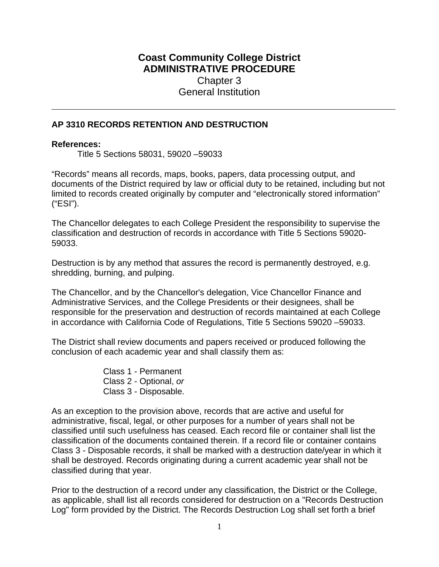# **Coast Community College District ADMINISTRATIVE PROCEDURE** Chapter 3 General Institution

### **AP 3310 RECORDS RETENTION AND DESTRUCTION**

#### **References:**

Title 5 Sections 58031, 59020 –59033

"Records" means all records, maps, books, papers, data processing output, and documents of the District required by law or official duty to be retained, including but not limited to records created originally by computer and "electronically stored information" ("ESI").

The Chancellor delegates to each College President the responsibility to supervise the classification and destruction of records in accordance with Title 5 Sections 59020- 59033.

Destruction is by any method that assures the record is permanently destroyed, e.g. shredding, burning, and pulping.

The Chancellor, and by the Chancellor's delegation, Vice Chancellor Finance and Administrative Services, and the College Presidents or their designees, shall be responsible for the preservation and destruction of records maintained at each College in accordance with California Code of Regulations, Title 5 Sections 59020 –59033.

The District shall review documents and papers received or produced following the conclusion of each academic year and shall classify them as:

> Class 1 - Permanent Class 2 - Optional, *or*  Class 3 - Disposable.

As an exception to the provision above, records that are active and useful for administrative, fiscal, legal, or other purposes for a number of years shall not be classified until such usefulness has ceased. Each record file or container shall list the classification of the documents contained therein. If a record file or container contains Class 3 - Disposable records, it shall be marked with a destruction date/year in which it shall be destroyed. Records originating during a current academic year shall not be classified during that year.

Prior to the destruction of a record under any classification, the District or the College, as applicable, shall list all records considered for destruction on a "Records Destruction Log" form provided by the District. The Records Destruction Log shall set forth a brief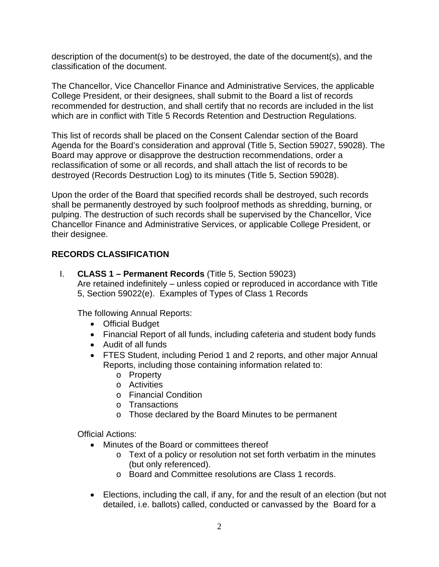description of the document(s) to be destroyed, the date of the document(s), and the classification of the document.

The Chancellor, Vice Chancellor Finance and Administrative Services, the applicable College President, or their designees, shall submit to the Board a list of records recommended for destruction, and shall certify that no records are included in the list which are in conflict with Title 5 Records Retention and Destruction Regulations.

This list of records shall be placed on the Consent Calendar section of the Board Agenda for the Board's consideration and approval (Title 5, Section 59027, 59028). The Board may approve or disapprove the destruction recommendations, order a reclassification of some or all records, and shall attach the list of records to be destroyed (Records Destruction Log) to its minutes (Title 5, Section 59028).

Upon the order of the Board that specified records shall be destroyed, such records shall be permanently destroyed by such foolproof methods as shredding, burning, or pulping. The destruction of such records shall be supervised by the Chancellor, Vice Chancellor Finance and Administrative Services, or applicable College President, or their designee.

# **RECORDS CLASSIFICATION**

I. **CLASS 1 – Permanent Records** (Title 5, Section 59023) Are retained indefinitely – unless copied or reproduced in accordance with Title 5, Section 59022(e). Examples of Types of Class 1 Records

The following Annual Reports:

- Official Budget
- Financial Report of all funds, including cafeteria and student body funds
- Audit of all funds
- FTES Student, including Period 1 and 2 reports, and other major Annual Reports, including those containing information related to:
	- o Property
	- o Activities
	- o Financial Condition
	- o Transactions
	- o Those declared by the Board Minutes to be permanent

Official Actions:

- Minutes of the Board or committees thereof
	- o Text of a policy or resolution not set forth verbatim in the minutes (but only referenced).
	- o Board and Committee resolutions are Class 1 records.
- Elections, including the call, if any, for and the result of an election (but not detailed, i.e. ballots) called, conducted or canvassed by the Board for a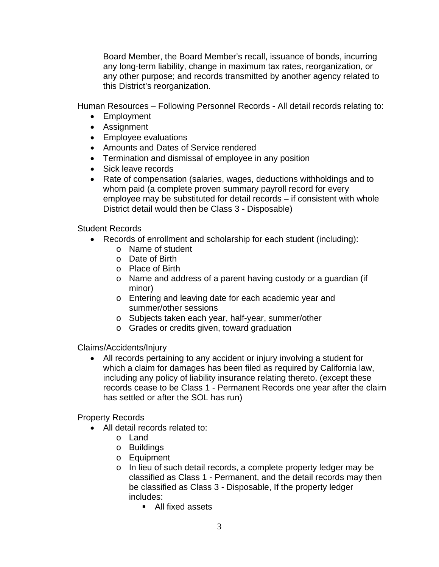Board Member, the Board Member's recall, issuance of bonds, incurring any long-term liability, change in maximum tax rates, reorganization, or any other purpose; and records transmitted by another agency related to this District's reorganization.

Human Resources – Following Personnel Records - All detail records relating to:

- Employment
- Assignment
- Employee evaluations
- Amounts and Dates of Service rendered
- Termination and dismissal of employee in any position
- Sick leave records
- Rate of compensation (salaries, wages, deductions withholdings and to whom paid (a complete proven summary payroll record for every employee may be substituted for detail records – if consistent with whole District detail would then be Class 3 - Disposable)

### Student Records

- Records of enrollment and scholarship for each student (including):
	- o Name of student
	- o Date of Birth
	- o Place of Birth
	- o Name and address of a parent having custody or a guardian (if minor)
	- o Entering and leaving date for each academic year and summer/other sessions
	- o Subjects taken each year, half-year, summer/other
	- o Grades or credits given, toward graduation

Claims/Accidents/Injury

 All records pertaining to any accident or injury involving a student for which a claim for damages has been filed as required by California law, including any policy of liability insurance relating thereto. (except these records cease to be Class 1 - Permanent Records one year after the claim has settled or after the SOL has run)

# Property Records

- All detail records related to:
	- o Land
	- o Buildings
	- o Equipment
	- o In lieu of such detail records, a complete property ledger may be classified as Class 1 - Permanent, and the detail records may then be classified as Class 3 - Disposable, If the property ledger includes:
		- All fixed assets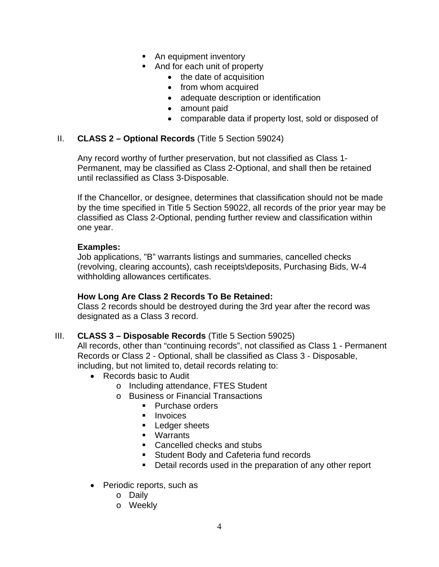- An equipment inventory
- And for each unit of property
	- the date of acquisition
	- from whom acquired
	- adequate description or identification
	- amount paid
	- comparable data if property lost, sold or disposed of

### II. **CLASS 2 – Optional Records** (Title 5 Section 59024)

Any record worthy of further preservation, but not classified as Class 1- Permanent, may be classified as Class 2-Optional, and shall then be retained until reclassified as Class 3-Disposable.

If the Chancellor, or designee, determines that classification should not be made by the time specified in Title 5 Section 59022, all records of the prior year may be classified as Class 2-Optional, pending further review and classification within one year.

#### **Examples:**

Job applications, "B" warrants listings and summaries, cancelled checks (revolving, clearing accounts), cash receipts\deposits, Purchasing Bids, W-4 withholding allowances certificates.

#### **How Long Are Class 2 Records To Be Retained:**

Class 2 records should be destroyed during the 3rd year after the record was designated as a Class 3 record.

#### III. **CLASS 3 – Disposable Records** (Title 5 Section 59025)

All records, other than "continuing records", not classified as Class 1 - Permanent Records or Class 2 - Optional, shall be classified as Class 3 - Disposable, including, but not limited to, detail records relating to:

- Records basic to Audit
	- o Including attendance, FTES Student
	- o Business or Financial Transactions
		- **Purchase orders**
		- **Invoices**
		- **Ledger sheets**
		- Warrants
		- Cancelled checks and stubs
		- **Student Body and Cafeteria fund records**
		- Detail records used in the preparation of any other report
- Periodic reports, such as
	- o Daily
	- o Weekly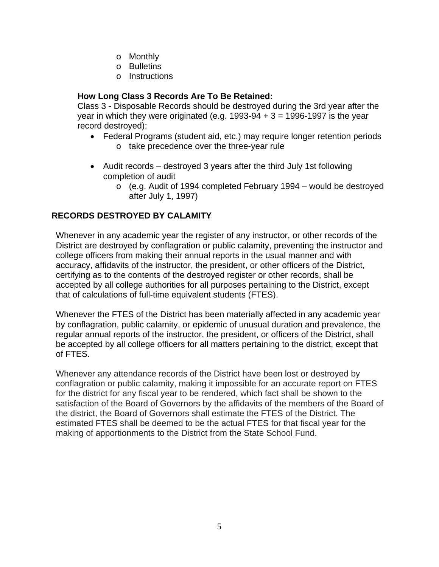- o Monthly
- o Bulletins
- o Instructions

# **How Long Class 3 Records Are To Be Retained:**

Class 3 - Disposable Records should be destroyed during the 3rd year after the year in which they were originated (e.g.  $1993-94 + 3 = 1996-1997$  is the year record destroyed):

- Federal Programs (student aid, etc.) may require longer retention periods o take precedence over the three-year rule
- Audit records destroyed 3 years after the third July 1st following completion of audit
	- o (e.g. Audit of 1994 completed February 1994 would be destroyed after July 1, 1997)

# **RECORDS DESTROYED BY CALAMITY**

Whenever in any academic year the register of any instructor, or other records of the District are destroyed by conflagration or public calamity, preventing the instructor and college officers from making their annual reports in the usual manner and with accuracy, affidavits of the instructor, the president, or other officers of the District, certifying as to the contents of the destroyed register or other records, shall be accepted by all college authorities for all purposes pertaining to the District, except that of calculations of full-time equivalent students (FTES).

Whenever the FTES of the District has been materially affected in any academic year by conflagration, public calamity, or epidemic of unusual duration and prevalence, the regular annual reports of the instructor, the president, or officers of the District, shall be accepted by all college officers for all matters pertaining to the district, except that of FTES.

Whenever any attendance records of the District have been lost or destroyed by conflagration or public calamity, making it impossible for an accurate report on FTES for the district for any fiscal year to be rendered, which fact shall be shown to the satisfaction of the Board of Governors by the affidavits of the members of the Board of the district, the Board of Governors shall estimate the FTES of the District. The estimated FTES shall be deemed to be the actual FTES for that fiscal year for the making of apportionments to the District from the State School Fund.